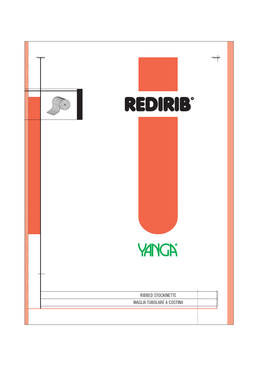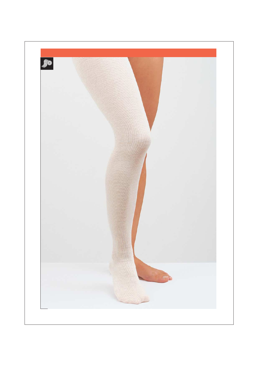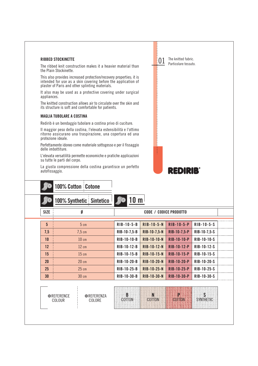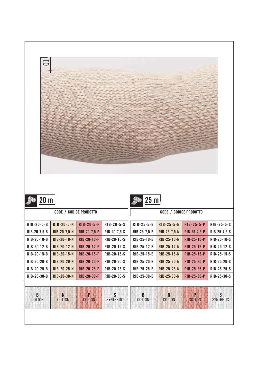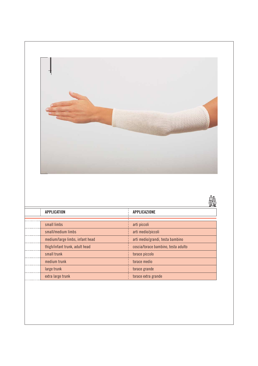